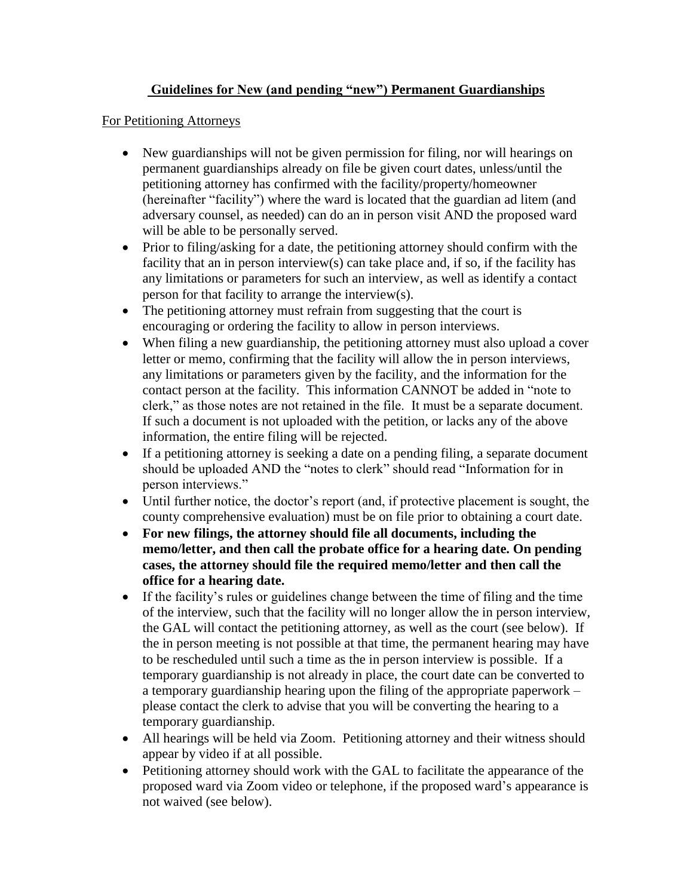## **Guidelines for New (and pending "new") Permanent Guardianships**

## For Petitioning Attorneys

- New guardianships will not be given permission for filing, nor will hearings on permanent guardianships already on file be given court dates, unless/until the petitioning attorney has confirmed with the facility/property/homeowner (hereinafter "facility") where the ward is located that the guardian ad litem (and adversary counsel, as needed) can do an in person visit AND the proposed ward will be able to be personally served.
- Prior to filing/asking for a date, the petitioning attorney should confirm with the facility that an in person interview(s) can take place and, if so, if the facility has any limitations or parameters for such an interview, as well as identify a contact person for that facility to arrange the interview(s).
- The petitioning attorney must refrain from suggesting that the court is encouraging or ordering the facility to allow in person interviews.
- When filing a new guardianship, the petitioning attorney must also upload a cover letter or memo, confirming that the facility will allow the in person interviews, any limitations or parameters given by the facility, and the information for the contact person at the facility. This information CANNOT be added in "note to clerk," as those notes are not retained in the file. It must be a separate document. If such a document is not uploaded with the petition, or lacks any of the above information, the entire filing will be rejected.
- If a petitioning attorney is seeking a date on a pending filing, a separate document should be uploaded AND the "notes to clerk" should read "Information for in person interviews."
- Until further notice, the doctor's report (and, if protective placement is sought, the county comprehensive evaluation) must be on file prior to obtaining a court date.
- **For new filings, the attorney should file all documents, including the memo/letter, and then call the probate office for a hearing date. On pending cases, the attorney should file the required memo/letter and then call the office for a hearing date.**
- If the facility's rules or guidelines change between the time of filing and the time of the interview, such that the facility will no longer allow the in person interview, the GAL will contact the petitioning attorney, as well as the court (see below). If the in person meeting is not possible at that time, the permanent hearing may have to be rescheduled until such a time as the in person interview is possible. If a temporary guardianship is not already in place, the court date can be converted to a temporary guardianship hearing upon the filing of the appropriate paperwork – please contact the clerk to advise that you will be converting the hearing to a temporary guardianship.
- All hearings will be held via Zoom. Petitioning attorney and their witness should appear by video if at all possible.
- Petitioning attorney should work with the GAL to facilitate the appearance of the proposed ward via Zoom video or telephone, if the proposed ward's appearance is not waived (see below).